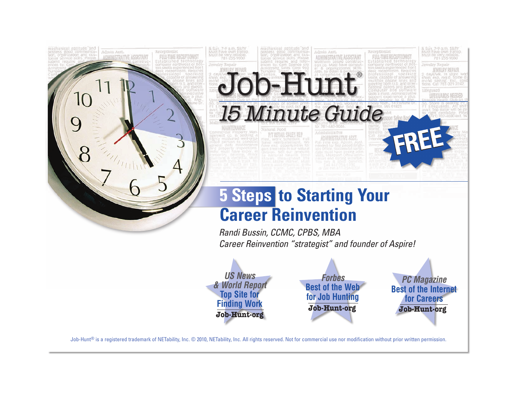

Job-Hunt<sup>®</sup> is a registered trademark of NETability, Inc. © 2010, NETability, Inc. All rights reserved. Not for commercial use nor modification without prior written permission.

*Forbes*  **Best of the Web for Job Hunting Job-Hunt.org**

*PC Magazine* **Best of the Internet for Careers Job-Hunt.org**

*US News & World Report*  **Top Site for Finding Work Job-Hunt.org**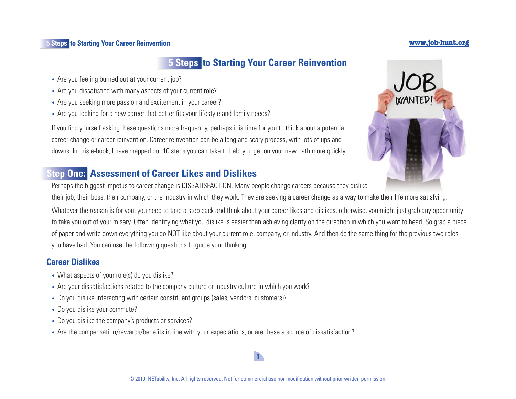# **5 Steps to Starting Your Career Reinvention**

- Are you feeling burned out at your current job?
- Are you dissatisfied with many aspects of your current role?
- Are you seeking more passion and excitement in your career?
- Are you looking for a new career that better fits your lifestyle and family needs?

If you find yourself asking these questions more frequently, perhaps it is time for you to think about a potential career change or career reinvention. Career reinvention can be a long and scary process, with lots of ups and downs. In this e-book, I have mapped out 10 steps you can take to help you get on your new path more quickly.

# **Step One: Assessment of Career Likes and Dislikes**

Perhaps the biggest impetus to career change is DISSATISFACTION. Many people change careers because they dislike

their job, their boss, their company, or the industry in which they work. They are seeking a career change as a way to make their life more satisfying.

Whatever the reason is for you, you need to take a step back and think about your career likes and dislikes, otherwise, you might just grab any opportunity to take you out of your misery. Often identifying what you dislike is easier than achieving clarity on the direction in which you want to head. So grab a piece of paper and write down everything you do NOT like about your current role, company, or industry. And then do the same thing for the previous two roles you have had. You can use the following questions to guide your thinking.

# **Career Dislikes**

- What aspects of your role(s) do you dislike?
- Are your dissatisfactions related to the company culture or industry culture in which you work?
- Do you dislike interacting with certain constituent groups (sales, vendors, customers)?
- Do you dislike your commute?
- Do you dislike the company's products or services?
- Are the compensation/rewards/benefits in line with your expectations, or are these a source of dissatisfaction?



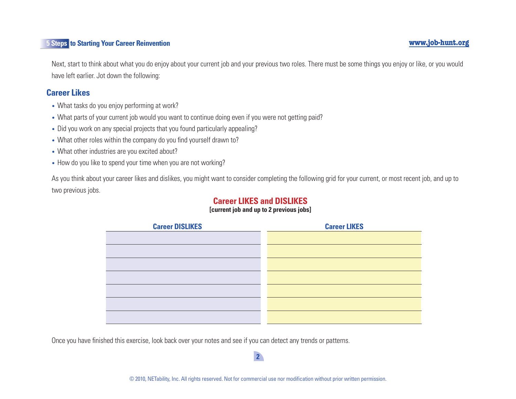Next, start to think about what you do enjoy about your current job and your previous two roles. There must be some things you enjoy or like, or you would have left earlier. Jot down the following:

## **Career Likes**

- What tasks do you enjoy performing at work?
- What parts of your current job would you want to continue doing even if you were not getting paid?
- Did you work on any special projects that you found particularly appealing?
- What other roles within the company do you find yourself drawn to?
- What other industries are you excited about?
- How do you like to spend your time when you are not working?

As you think about your career likes and dislikes, you might want to consider completing the following grid for your current, or most recent job, and up to two previous jobs.

# **Career LIKES and DISLIKES**

#### **[current job and up to 2 previous jobs]**

| <b>Career DISLIKES</b> | <b>Career LIKES</b> |
|------------------------|---------------------|
|                        |                     |
|                        |                     |
|                        |                     |
|                        |                     |
|                        |                     |
|                        |                     |
|                        |                     |
|                        |                     |
|                        |                     |

Once you have finished this exercise, look back over your notes and see if you can detect any trends or patterns.

#### © 2010, NETability, Inc. All rights reserved. Not for commercial use nor modification without prior written permission.

 $2<sup>2</sup>$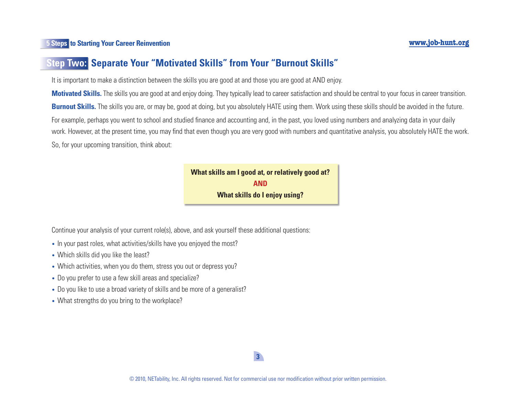# **Step Two: Separate Your "Motivated Skills" from Your "Burnout Skills"**

It is important to make a distinction between the skills you are good at and those you are good at AND enjoy.

**Motivated Skills.** The skills you are good at and enjoy doing. They typically lead to career satisfaction and should be central to your focus in career transition. **Burnout Skills.** The skills you are, or may be, good at doing, but you absolutely HATE using them. Work using these skills should be avoided in the future. For example, perhaps you went to school and studied finance and accounting and, in the past, you loved using numbers and analyzing data in your daily work. However, at the present time, you may find that even though you are very good with numbers and quantitative analysis, you absolutely HATE the work. So, for your upcoming transition, think about:

> **What skills am I good at, or relatively good at? AND What skills do I enjoy using?**

Continue your analysis of your current role(s), above, and ask yourself these additional questions:

- In your past roles, what activities/skills have you enjoyed the most?
- Which skills did you like the least?
- Which activities, when you do them, stress you out or depress you?
- Do you prefer to use a few skill areas and specialize?
- Do you like to use a broad variety of skills and be more of a generalist?
- What strengths do you bring to the workplace?

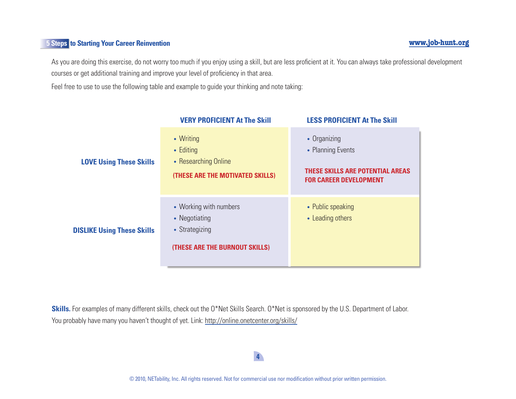As you are doing this exercise, do not worry too much if you enjoy using a skill, but are less proficient at it. You can always take professional development courses or get additional training and improve your level of proficiency in that area.

Feel free to use to use the following table and example to guide your thinking and note taking:

|                                   | <b>VERY PROFICIENT At The Skill</b>                                                         | <b>LESS PROFICIENT At The Skill</b>                                                                           |
|-----------------------------------|---------------------------------------------------------------------------------------------|---------------------------------------------------------------------------------------------------------------|
| <b>LOVE Using These Skills</b>    | • Writing<br>$\bullet$ Editing<br>• Researching Online<br>(THESE ARE THE MOTIVATED SKILLS)  | • Organizing<br>• Planning Events<br><b>THESE SKILLS ARE POTENTIAL AREAS</b><br><b>FOR CAREER DEVELOPMENT</b> |
| <b>DISLIKE Using These Skills</b> | • Working with numbers<br>• Negotiating<br>• Strategizing<br>(THESE ARE THE BURNOUT SKILLS) | • Public speaking<br>• Leading others                                                                         |

Skills. For examples of many different skills, check out the O\*Net Skills Search. O\*Net is sponsored by the U.S. Department of Labor. You probably have many you haven't thought of yet. Link: <http://online.onetcenter.org/skills>/

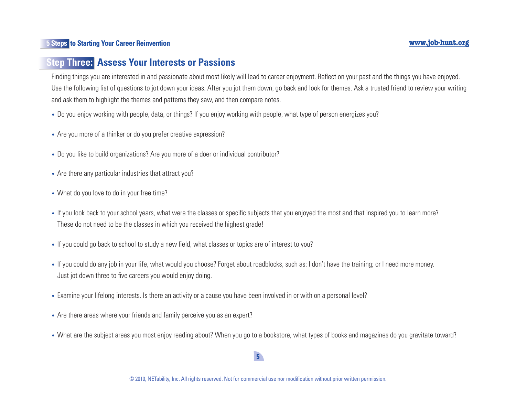# **Step Three: Assess Your Interests or Passions**

Finding things you are interested in and passionate about most likely will lead to career enjoyment. Reflect on your past and the things you have enjoyed. Use the following list of questions to jot down your ideas. After you jot them down, go back and look for themes. Ask a trusted friend to review your writing and ask them to highlight the themes and patterns they saw, and then compare notes.

- Do you enjoy working with people, data, or things? If you enjoy working with people, what type of person energizes you?
- Are you more of a thinker or do you prefer creative expression?
- Do you like to build organizations? Are you more of a doer or individual contributor?
- Are there any particular industries that attract you?
- What do you love to do in your free time?
- If you look back to your school years, what were the classes or specific subjects that you enjoyed the most and that inspired you to learn more? These do not need to be the classes in which you received the highest grade!
- If you could go back to school to study a new field, what classes or topics are of interest to you?
- If you could do any job in your life, what would you choose? Forget about roadblocks, such as: I don't have the training; or I need more money. Just jot down three to five careers you would enjoy doing.
- Examine your lifelong interests. Is there an activity or a cause you have been involved in or with on a personal level?
- Are there areas where your friends and family perceive you as an expert?
- What are the subject areas you most enjoy reading about? When you go to a bookstore, what types of books and magazines do you gravitate toward?

# $5<sup>1</sup>$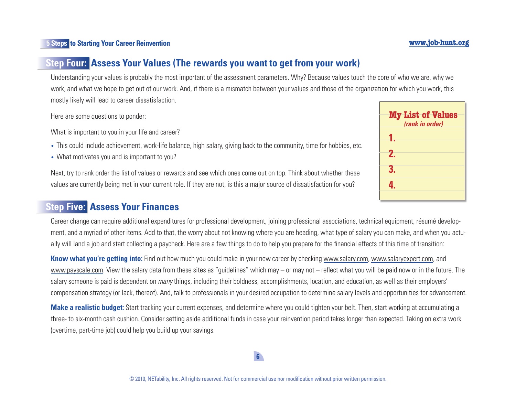# **Step Four: Assess Your Values (The rewards you want to get from your work)**

Understanding your values is probably the most important of the assessment parameters. Why? Because values touch the core of who we are, why we work, and what we hope to get out of our work. And, if there is a mismatch between your values and those of the organization for which you work, this mostly likely will lead to career dissatisfaction.

Here are some questions to ponder:

What is important to you in your life and career?

- This could include achievement, work-life balance, high salary, giving back to the community, time for hobbies, etc.
- What motivates you and is important to you?

Next, try to rank order the list of values or rewards and see which ones come out on top. Think about whether these values are currently being met in your current role. If they are not, is this a major source of dissatisfaction for you?

# **Step Five: Assess Your Finances**

Career change can require additional expenditures for professional development, joining professional associations, technical equipment, résumé development, and a myriad of other items. Add to that, the worry about not knowing where you are heading, what type of salary you can make, and when you actually will land a job and start collecting a paycheck. Here are a few things to do to help you prepare for the financial effects of this time of transition:

**Know what you're getting into:** Find out how much you could make in your new career by checking [www.salary.com,](http://www.salary.com) [www.salaryexpert.com,](http://www.salaryexpert.com) and [www.payscale.com](http://www.payscale.com). View the salary data from these sites as "guidelines" which may – or may not – reflect what you will be paid now or in the future. The salary someone is paid is dependent on *many* things, including their boldness, accomplishments, location, and education, as well as their employers' compensation strategy (or lack, thereof). And, talk to professionals in your desired occupation to determine salary levels and opportunities for advancement.

**Make a realistic budget:** Start tracking your current expenses, and determine where you could tighten your belt. Then, start working at accumulating a three- to six-month cash cushion. Consider setting aside additional funds in case your reinvention period takes longer than expected. Taking on extra work (overtime, part-time job) could help you build up your savings.

# **My List of Values**  *(rank in order)* **1. 2. 3. 4.**

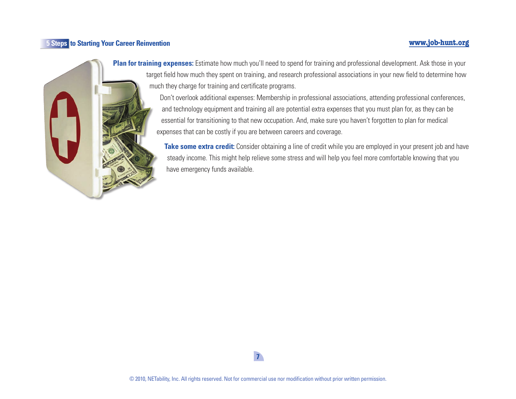#### **5** Steps to Starting Your Career Reinvention **by Steps in the Steps of Steps in the Starting Your Career Reinvention**



**Plan for training expenses:** Estimate how much you'll need to spend for training and professional development. Ask those in your target field how much they spent on training, and research professional associations in your new field to determine how much they charge for training and certificate programs.

> Don't overlook additional expenses: Membership in professional associations, attending professional conferences, and technology equipment and training all are potential extra expenses that you must plan for, as they can be essential for transitioning to that new occupation. And, make sure you haven't forgotten to plan for medical expenses that can be costly if you are between careers and coverage.

Take some extra credit: Consider obtaining a line of credit while you are employed in your present job and have steady income. This might help relieve some stress and will help you feel more comfortable knowing that you have emergency funds available.